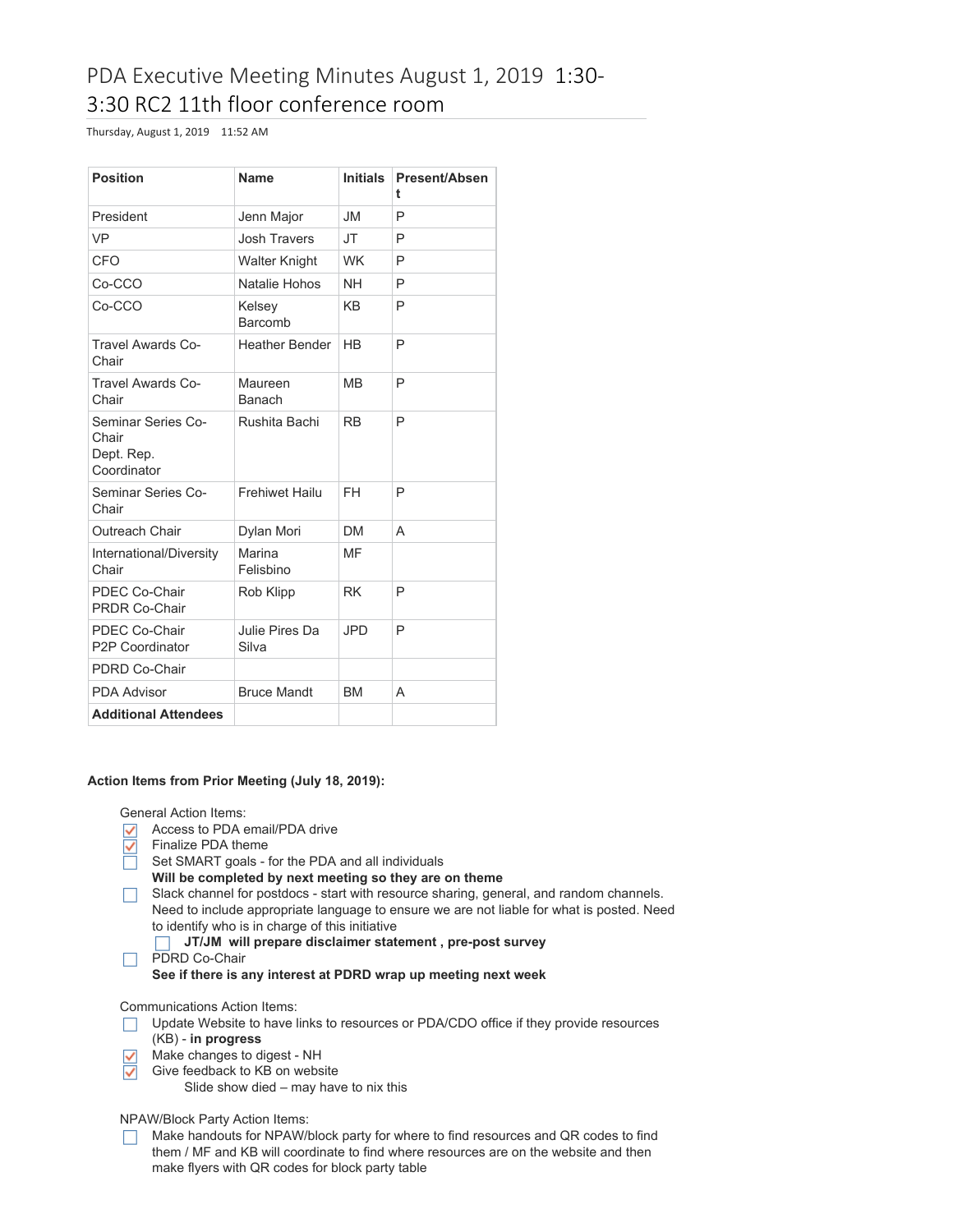# PDA Executive Meeting Minutes August 1, 2019 1:30- 3:30 RC2 11th floor conference room

Thursday, August 1, 2019 11:52 AM

| <b>Position</b>                                          | <b>Name</b>             | <b>Initials</b>      | <b>Present/Absen</b><br>t |
|----------------------------------------------------------|-------------------------|----------------------|---------------------------|
| President                                                | Jenn Major              | <b>JM</b>            | P                         |
| <b>VP</b>                                                | <b>Josh Travers</b>     | <b>JT</b>            | P                         |
| CFO                                                      | <b>Walter Knight</b>    | <b>WK</b>            | P                         |
| Co-CCO                                                   | Natalie Hohos           | <b>NH</b>            | P                         |
| Co-CCO                                                   | Kelsey<br>Barcomb       | <b>KB</b>            | P                         |
| <b>Travel Awards Co-</b><br>Chair                        | <b>Heather Bender</b>   | <b>H<sub>B</sub></b> | P                         |
| Travel Awards Co-<br>Chair                               | Maureen<br>Banach       | <b>MB</b>            | P                         |
| Seminar Series Co-<br>Chair<br>Dept. Rep.<br>Coordinator | Rushita Bachi           | <b>RB</b>            | P                         |
| Seminar Series Co-<br>Chair                              | <b>Frehiwet Hailu</b>   | <b>FH</b>            | P                         |
| Outreach Chair                                           | Dylan Mori              | <b>DM</b>            | A                         |
| International/Diversity<br>Chair                         | Marina<br>Felisbino     | MF                   |                           |
| PDEC Co-Chair<br><b>PRDR Co-Chair</b>                    | Rob Klipp               | <b>RK</b>            | P                         |
| PDEC Co-Chair<br>P2P Coordinator                         | Julie Pires Da<br>Silva | <b>JPD</b>           | P                         |
| PDRD Co-Chair                                            |                         |                      |                           |
| <b>PDA Advisor</b>                                       | <b>Bruce Mandt</b>      | <b>BM</b>            | A                         |
| <b>Additional Attendees</b>                              |                         |                      |                           |

# **Action Items from Prior Meeting (July 18, 2019):**

General Action Items:

- Access to PDA email/PDA drive
- $\leq$ Finalize PDA theme
- Set SMART goals for the PDA and all individuals
- **Will be completed by next meeting so they are on theme**
- Slack channel for postdocs start with resource sharing, general, and random channels. Need to include appropriate language to ensure we are not liable for what is posted. Need to identify who is in charge of this initiative
	- **JT/JM will prepare disclaimer statement , pre-post survey**  $\Box$
- **PDRD Co-Chair** 
	- **See if there is any interest at PDRD wrap up meeting next week**

Communications Action Items:

- □ Update Website to have links to resources or PDA/CDO office if they provide resources
- (KB) **in progress**
- $\triangledown$  Make changes to digest NH  $\checkmark$ 
	- Give feedback to KB on website Slide show died – may have to nix this

NPAW/Block Party Action Items:

Make handouts for NPAW/block party for where to find resources and QR codes to find them / MF and KB will coordinate to find where resources are on the website and then make flyers with QR codes for block party table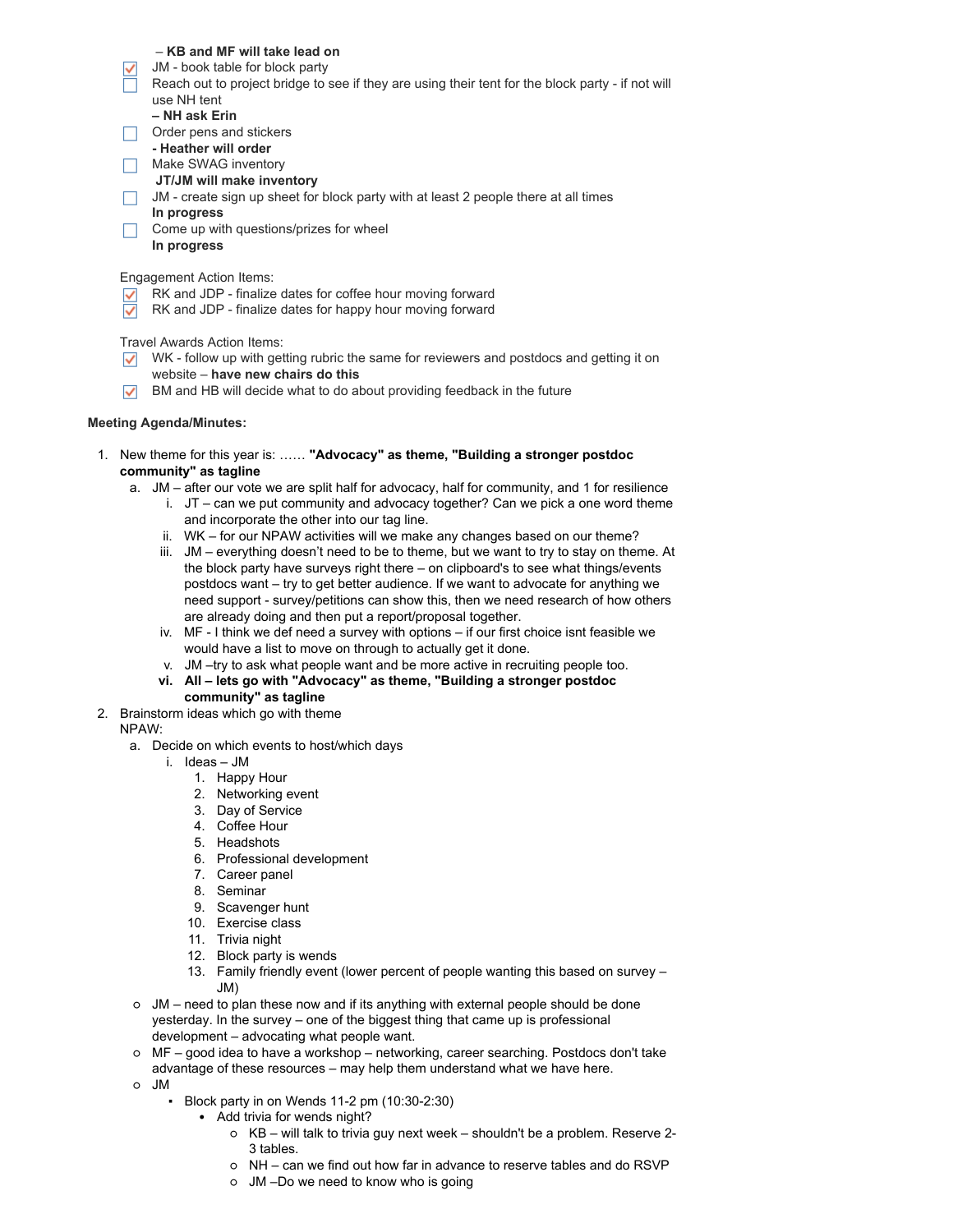# – **KB and MF will take lead on**

- $\sqrt{\phantom{a}}$  JM book table for block party
- Reach out to project bridge to see if they are using their tent for the block party if not will use NH tent
	- **– NH ask Erin**
- $\Box$  Order pens and stickers
- **- Heather will order**
- Make SWAG inventory
	- **JT/JM will make inventory**
- JM create sign up sheet for block party with at least 2 people there at all times
- **In progress**
- Come up with questions/prizes for wheel **In progress**

Engagement Action Items:

- RK and JDP finalize dates for coffee hour moving forward
- RK and JDP finalize dates for happy hour moving forward  $\checkmark$

Travel Awards Action Items:

- $\triangledown$  WK follow up with getting rubric the same for reviewers and postdocs and getting it on website – **have new chairs do this**
- $\triangledown$  BM and HB will decide what to do about providing feedback in the future

# **Meeting Agenda/Minutes:**

1. New theme for this year is: …… **"Advocacy" as theme, "Building a stronger postdoc community" as tagline**

- a. JM after our vote we are split half for advocacy, half for community, and 1 for resilience
	- i. JT can we put community and advocacy together? Can we pick a one word theme and incorporate the other into our tag line.
	- ii. WK for our NPAW activities will we make any changes based on our theme?
	- iii. JM everything doesn't need to be to theme, but we want to try to stay on theme. At the block party have surveys right there – on clipboard's to see what things/events postdocs want – try to get better audience. If we want to advocate for anything we need support - survey/petitions can show this, then we need research of how others are already doing and then put a report/proposal together.
	- iv. MF I think we def need a survey with options if our first choice isnt feasible we would have a list to move on through to actually get it done.
	- v. JM –try to ask what people want and be more active in recruiting people too.
	- **vi. All – lets go with "Advocacy" as theme, "Building a stronger postdoc**
		- **community" as tagline**
- 2. Brainstorm ideas which go with theme

# NPAW:

- a. Decide on which events to host/which days
	- i. Ideas JM
		- 1. Happy Hour
		- 2. Networking event
		- 3. Day of Service
		- 4. Coffee Hour
		- 5. Headshots
		- 6. Professional development
		- 7. Career panel
		- 8. Seminar
		- 9. Scavenger hunt
		- 10. Exercise class
		- 11. Trivia night
		- 12. Block party is wends
		- 13. Family friendly event (lower percent of people wanting this based on survey JM)
- JM need to plan these now and if its anything with external people should be done yesterday. In the survey – one of the biggest thing that came up is professional development – advocating what people want.
- MF good idea to have a workshop networking, career searching. Postdocs don't take advantage of these resources – may help them understand what we have here.
- JM
	- Block party in on Wends 11-2 pm (10:30-2:30)
		- Add trivia for wends night?
			- KB will talk to trivia guy next week shouldn't be a problem. Reserve 2- 3 tables.
			- NH can we find out how far in advance to reserve tables and do RSVP
			- JM –Do we need to know who is going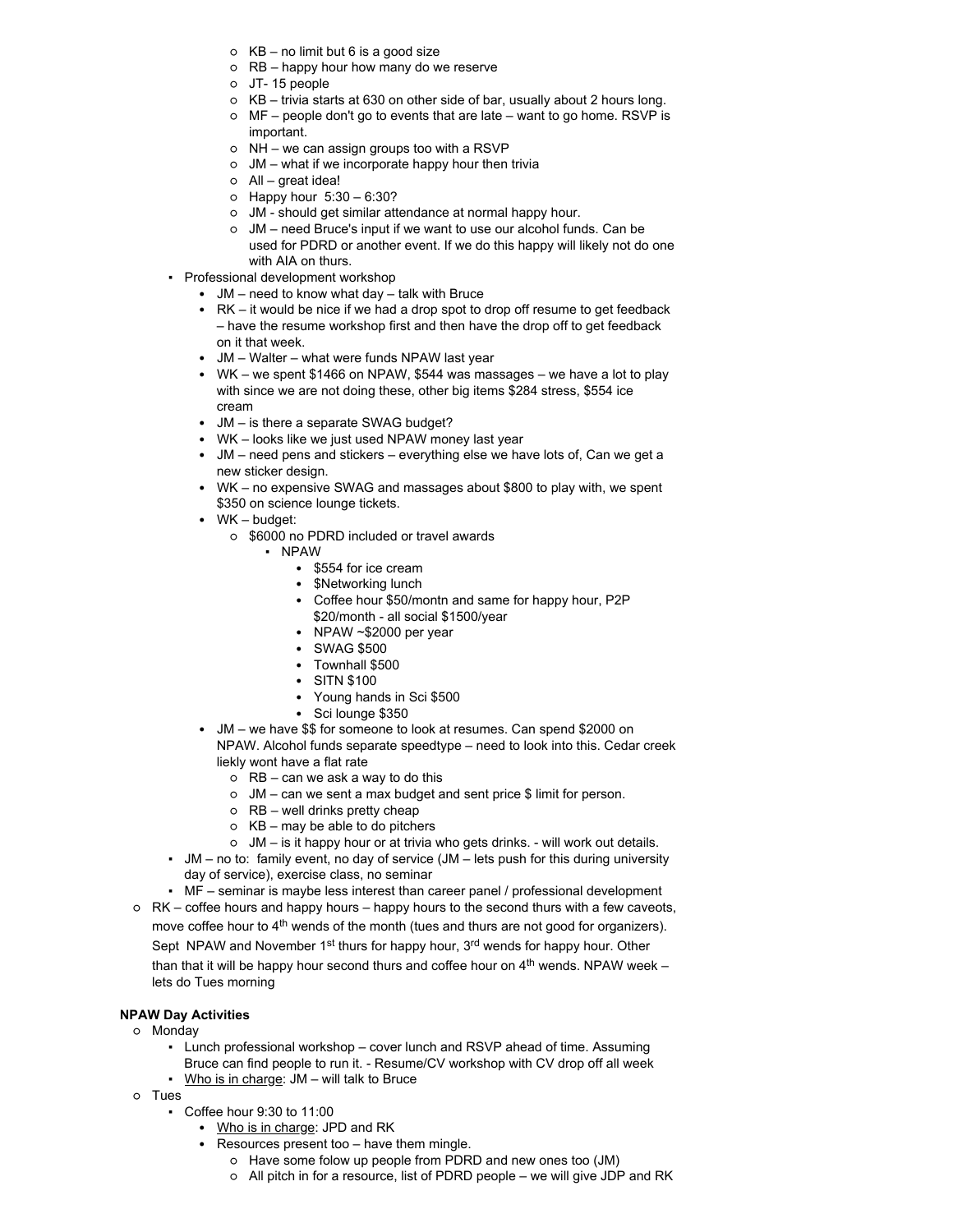- $\circ$  KB no limit but 6 is a good size
- RB happy hour how many do we reserve
- JT- 15 people
- KB trivia starts at 630 on other side of bar, usually about 2 hours long.
- MF people don't go to events that are late want to go home. RSVP is important.
- NH we can assign groups too with a RSVP
- JM what if we incorporate happy hour then trivia
- All great idea!
- Happy hour 5:30 6:30?
- JM should get similar attendance at normal happy hour.
- JM need Bruce's input if we want to use our alcohol funds. Can be used for PDRD or another event. If we do this happy will likely not do one with AIA on thurs.
- Professional development workshop
	- JM need to know what day talk with Bruce
	- RK it would be nice if we had a drop spot to drop off resume to get feedback – have the resume workshop first and then have the drop off to get feedback on it that week.
	- JM Walter what were funds NPAW last year
	- WK we spent \$1466 on NPAW, \$544 was massages we have a lot to play with since we are not doing these, other big items \$284 stress, \$554 ice cream
	- JM is there a separate SWAG budget?
	- WK looks like we just used NPAW money last year
	- JM need pens and stickers everything else we have lots of, Can we get a new sticker design.
	- WK no expensive SWAG and massages about \$800 to play with, we spent \$350 on science lounge tickets.
	- WK budget:
		- \$6000 no PDRD included or travel awards
			- NPAW
				- \$554 for ice cream
				- \$Networking lunch
				- Coffee hour \$50/montn and same for happy hour, P2P
				- \$20/month all social \$1500/year
				- NPAW ~\$2000 per year
				- SWAG \$500
				- Townhall \$500
				- SITN \$100
				- Young hands in Sci \$500
				- Sci lounge \$350
	- JM we have \$\$ for someone to look at resumes. Can spend \$2000 on NPAW. Alcohol funds separate speedtype – need to look into this. Cedar creek liekly wont have a flat rate
		- $o$  RB can we ask a way to do this
		- JM can we sent a max budget and sent price \$ limit for person.
		- RB well drinks pretty cheap
		- $\circ$  KB may be able to do pitchers
	- JM is it happy hour or at trivia who gets drinks. will work out details.
- JM no to: family event, no day of service (JM lets push for this during university day of service), exercise class, no seminar
- MF seminar is maybe less interest than career panel / professional development
- RK coffee hours and happy hours happy hours to the second thurs with a few caveots, move coffee hour to 4<sup>th</sup> wends of the month (tues and thurs are not good for organizers). Sept NPAW and November 1<sup>st</sup> thurs for happy hour, 3<sup>rd</sup> wends for happy hour. Other than that it will be happy hour second thurs and coffee hour on  $4<sup>th</sup>$  wends. NPAW week – lets do Tues morning

# **NPAW Day Activities**

- Monday
	- Lunch professional workshop cover lunch and RSVP ahead of time. Assuming Bruce can find people to run it. - Resume/CV workshop with CV drop off all week  $\blacksquare$  Who is in charge: JM – will talk to Bruce
- Tues
	- Coffee hour 9:30 to 11:00
		- Who is in charge: JPD and RK
		- Resources present too have them mingle.
			- Have some folow up people from PDRD and new ones too (JM)
			- All pitch in for a resource, list of PDRD people we will give JDP and RK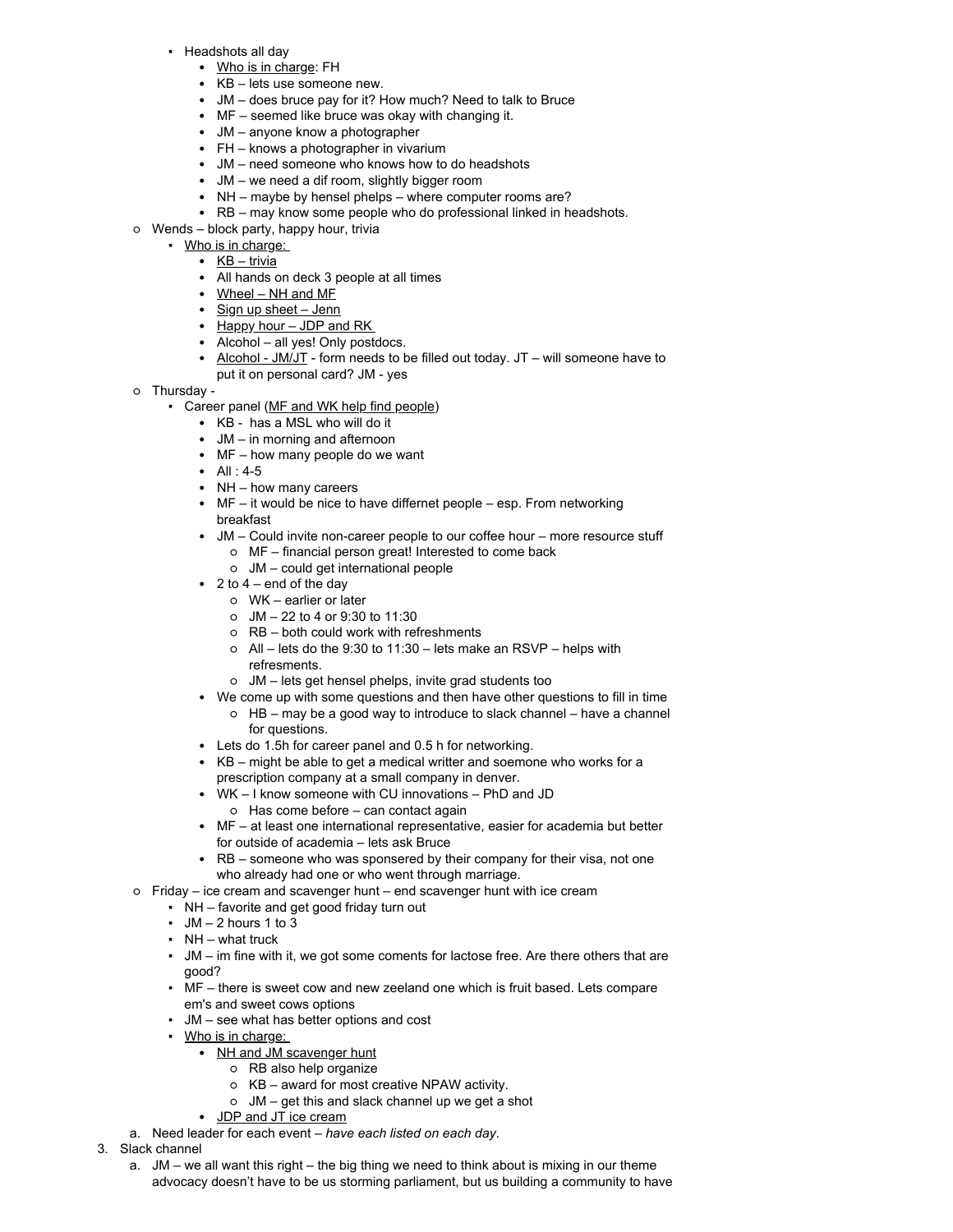- Headshots all day
	- Who is in charge: FH
	- KB lets use someone new.
	- JM does bruce pay for it? How much? Need to talk to Bruce
	- MF seemed like bruce was okay with changing it.
	- JM anyone know a photographer
	- FH knows a photographer in vivarium
	- JM need someone who knows how to do headshots
	- JM we need a dif room, slightly bigger room
	- NH maybe by hensel phelps where computer rooms are?
	- RB may know some people who do professional linked in headshots.
- Wends block party, happy hour, trivia
	- Who is in charge:
		- KB trivia
		- All hands on deck 3 people at all times
		- Wheel NH and MF
		- Sign up sheet Jenn
		- Happy hour JDP and RK
		- Alcohol all yes! Only postdocs.
		- Alcohol JM/JT form needs to be filled out today.  $JT -$  will someone have to put it on personal card? JM - yes
- o Thursday -
	- Career panel (MF and WK help find people)
		- KB has a MSL who will do it
		- JM in morning and afternoon
		- MF how many people do we want
		- All : 4-5
		- NH how many careers
		- MF it would be nice to have differnet people esp. From networking breakfast
		- JM Could invite non-career people to our coffee hour more resource stuff ○ MF – financial person great! Interested to come back
			- JM could get international people
		- $\cdot$  2 to 4 end of the day
			- WK earlier or later
			- JM 22 to 4 or 9:30 to 11:30
			- RB both could work with refreshments
			- All lets do the 9:30 to 11:30 lets make an RSVP helps with refresments.
			- JM lets get hensel phelps, invite grad students too
		- We come up with some questions and then have other questions to fill in time ○ HB – may be a good way to introduce to slack channel – have a channel for questions.
		- Lets do 1.5h for career panel and 0.5 h for networking.
		- KB might be able to get a medical writter and soemone who works for a prescription company at a small company in denver.
		- WK I know someone with CU innovations PhD and JD ○ Has come before – can contact again
		- MF at least one international representative, easier for academia but better for outside of academia – lets ask Bruce
		- RB someone who was sponsered by their company for their visa, not one who already had one or who went through marriage.
- Friday ice cream and scavenger hunt end scavenger hunt with ice cream
	- NH favorite and get good friday turn out
	- $\bullet$  JM  $-$  2 hours 1 to 3
	- $\blacksquare$  NH what truck
	- JM im fine with it, we got some coments for lactose free. Are there others that are good?
	- MF there is sweet cow and new zeeland one which is fruit based. Lets compare em's and sweet cows options
	- JM see what has better options and cost
	- Who is in charge:
		- NH and JM scavenger hunt
			- RB also help organize
			- KB award for most creative NPAW activity.
			- JM get this and slack channel up we get a shot
		- JDP and JT ice cream
- a. Need leader for each event *have each listed on each day*.
- 3. Slack channel
	- a. JM we all want this right the big thing we need to think about is mixing in our theme advocacy doesn't have to be us storming parliament, but us building a community to have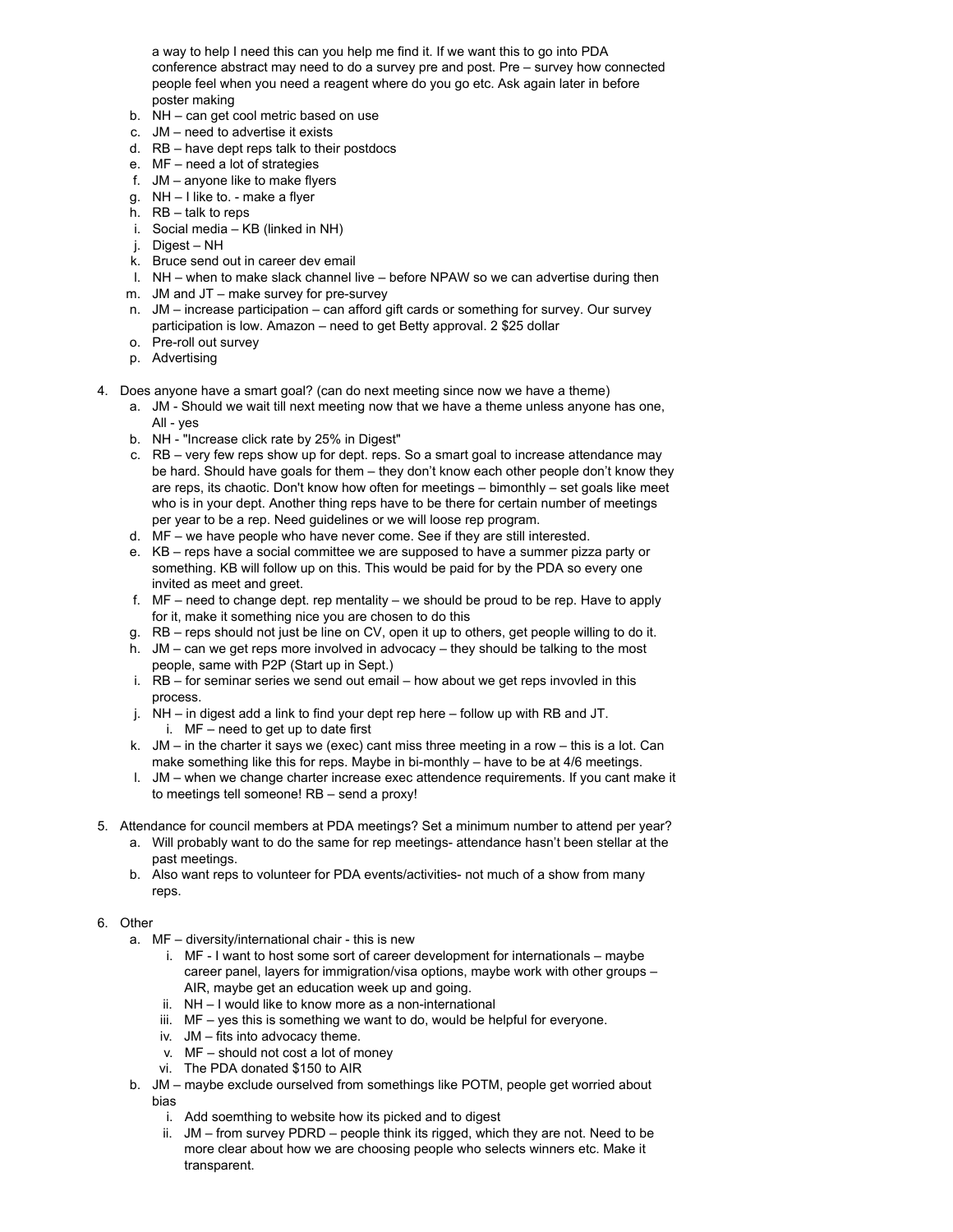a way to help I need this can you help me find it. If we want this to go into PDA conference abstract may need to do a survey pre and post. Pre – survey how connected people feel when you need a reagent where do you go etc. Ask again later in before poster making

- b. NH can get cool metric based on use
- c. JM need to advertise it exists
- d. RB have dept reps talk to their postdocs
- e. MF need a lot of strategies
- f. JM anyone like to make flyers
- g. NH I like to. make a flyer
- h. RB talk to reps
- i. Social media KB (linked in NH)
- j. Digest NH
- k. Bruce send out in career dev email
- l. NH when to make slack channel live before NPAW so we can advertise during then
- m. JM and JT make survey for pre-survey
- n. JM increase participation can afford gift cards or something for survey. Our survey participation is low. Amazon – need to get Betty approval. 2 \$25 dollar
- o. Pre-roll out survey
- p. Advertising
- 4. Does anyone have a smart goal? (can do next meeting since now we have a theme)
	- a. JM Should we wait till next meeting now that we have a theme unless anyone has one, All - yes
	- b. NH "Increase click rate by 25% in Digest"
	- c. RB very few reps show up for dept. reps. So a smart goal to increase attendance may be hard. Should have goals for them – they don't know each other people don't know they are reps, its chaotic. Don't know how often for meetings – bimonthly – set goals like meet who is in your dept. Another thing reps have to be there for certain number of meetings per year to be a rep. Need guidelines or we will loose rep program.
	- d. MF we have people who have never come. See if they are still interested.
	- e. KB reps have a social committee we are supposed to have a summer pizza party or something. KB will follow up on this. This would be paid for by the PDA so every one invited as meet and greet.
	- f. MF need to change dept. rep mentality we should be proud to be rep. Have to apply for it, make it something nice you are chosen to do this
	- g. RB reps should not just be line on CV, open it up to others, get people willing to do it.
	- h. JM can we get reps more involved in advocacy they should be talking to the most people, same with P2P (Start up in Sept.)
	- i. RB for seminar series we send out email how about we get reps invovled in this process.
	- j. NH in digest add a link to find your dept rep here follow up with RB and JT.
		- i. MF need to get up to date first
	- k. JM in the charter it says we (exec) cant miss three meeting in a row this is a lot. Can make something like this for reps. Maybe in bi-monthly – have to be at 4/6 meetings.
	- l. JM when we change charter increase exec attendence requirements. If you cant make it to meetings tell someone! RB – send a proxy!
- 5. Attendance for council members at PDA meetings? Set a minimum number to attend per year?
	- a. Will probably want to do the same for rep meetings- attendance hasn't been stellar at the past meetings.
	- b. Also want reps to volunteer for PDA events/activities- not much of a show from many reps.
- 6. Other
	- a. MF diversity/international chair this is new
		- i. MF I want to host some sort of career development for internationals maybe career panel, layers for immigration/visa options, maybe work with other groups – AIR, maybe get an education week up and going.
		- ii. NH I would like to know more as a non-international
		- iii. MF yes this is something we want to do, would be helpful for everyone.
		- iv. JM fits into advocacy theme.
		- v. MF should not cost a lot of money
		- vi. The PDA donated \$150 to AIR
	- b. JM maybe exclude ourselved from somethings like POTM, people get worried about bias
		- i. Add soemthing to website how its picked and to digest
		- ii. JM from survey PDRD people think its rigged, which they are not. Need to be more clear about how we are choosing people who selects winners etc. Make it transparent.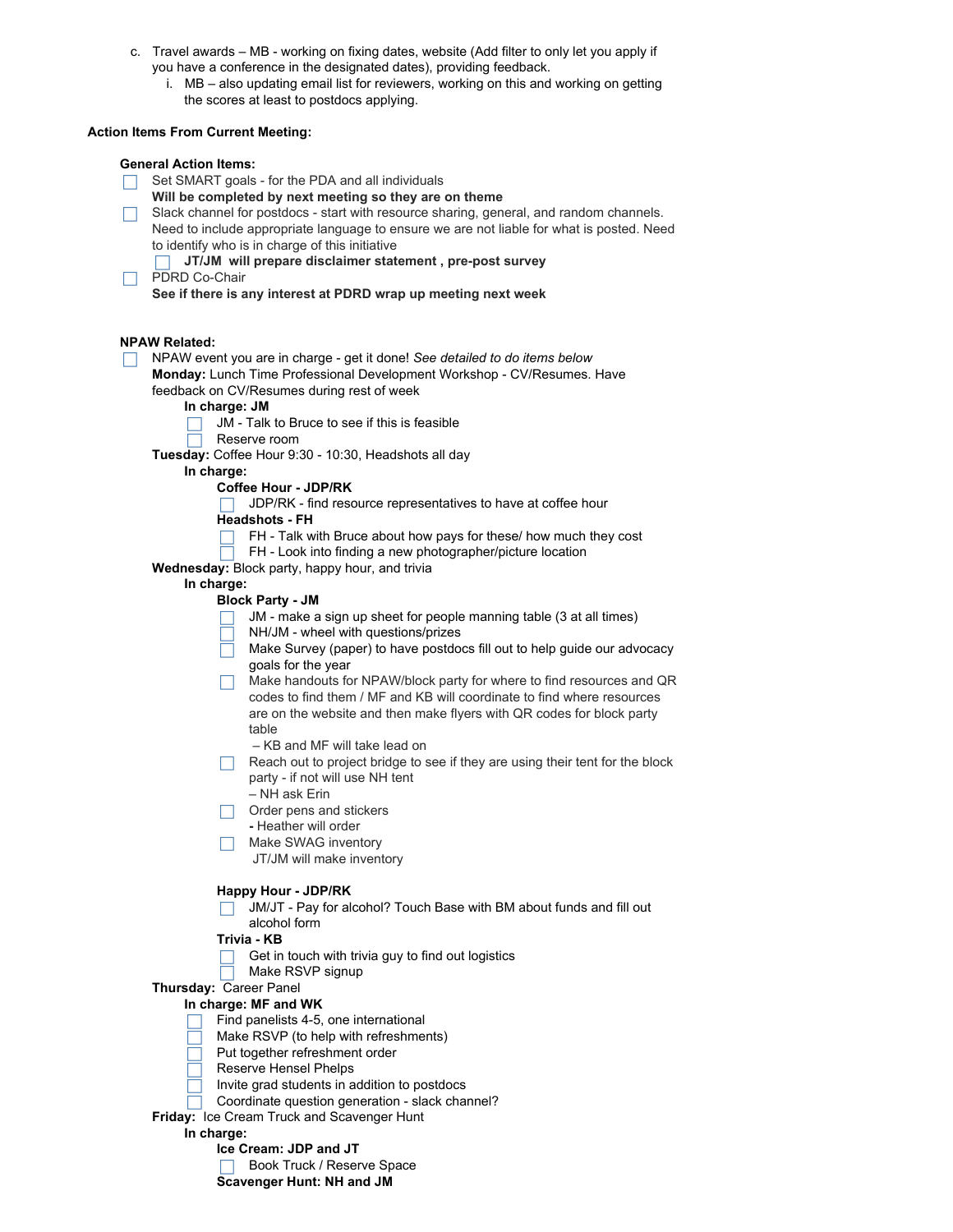- c. Travel awards MB working on fixing dates, website (Add filter to only let you apply if you have a conference in the designated dates), providing feedback.
	- i. MB also updating email list for reviewers, working on this and working on getting the scores at least to postdocs applying.

# **Action Items From Current Meeting:**

# **General Action Items:**

Set SMART goals - for the PDA and all individuals

- **Will be completed by next meeting so they are on theme**
- Slack channel for postdocs start with resource sharing, general, and random channels. Need to include appropriate language to ensure we are not liable for what is posted. Need to identify who is in charge of this initiative
	- **JT/JM will prepare disclaimer statement , pre-post survey**
- PDRD Co-Chair **See if there is any interest at PDRD wrap up meeting next week**

# **NPAW Related:**

- NPAW event you are in charge get it done! *See detailed to do items below* **Monday:** Lunch Time Professional Development Workshop - CV/Resumes. Have feedback on CV/Resumes during rest of week
	- **In charge: JM**
		- JM Talk to Bruce to see if this is feasible
	- Reserve room

**Tuesday:** Coffee Hour 9:30 - 10:30, Headshots all day

**In charge:**

# **Coffee Hour - JDP/RK**

 $\Box$  JDP/RK - find resource representatives to have at coffee hour

# **Headshots - FH**

- FH Talk with Bruce about how pays for these/ how much they cost
- FH Look into finding a new photographer/picture location
- **Wednesday:** Block party, happy hour, and trivia

# **In charge:**

# **Block Party - JM**

- JM make a sign up sheet for people manning table (3 at all times)  $\Box$
- NH/JM wheel with questions/prizes
- Make Survey (paper) to have postdocs fill out to help guide our advocacy goals for the year
- $\Box$  Make handouts for NPAW/block party for where to find resources and QR codes to find them / MF and KB will coordinate to find where resources are on the website and then make flyers with QR codes for block party table
	- KB and MF will take lead on
- $\Box$  Reach out to project bridge to see if they are using their tent for the block party - if not will use NH tent
	- NH ask Erin
- $\Box$  Order pens and stickers
- **-** Heather will order
- $\Box$  Make SWAG inventory
	- JT/JM will make inventory

#### **Happy Hour - JDP/RK**

JM/JT - Pay for alcohol? Touch Base with BM about funds and fill out alcohol form

# **Trivia - KB**

- $\Box$  Get in touch with trivia guy to find out logistics
- $\Box$  Make RSVP signup
- **Thursday:** Career Panel

# **In charge: MF and WK**

- Find panelists 4-5, one international
- Make RSVP (to help with refreshments)
- Put together refreshment order
- Reserve Hensel Phelps
- Invite grad students in addition to postdocs
- Coordinate question generation slack channel?
- **Friday:** Ice Cream Truck and Scavenger Hunt

#### **In charge:**

- **Ice Cream: JDP and JT**
- Book Truck / Reserve Space

**Scavenger Hunt: NH and JM**